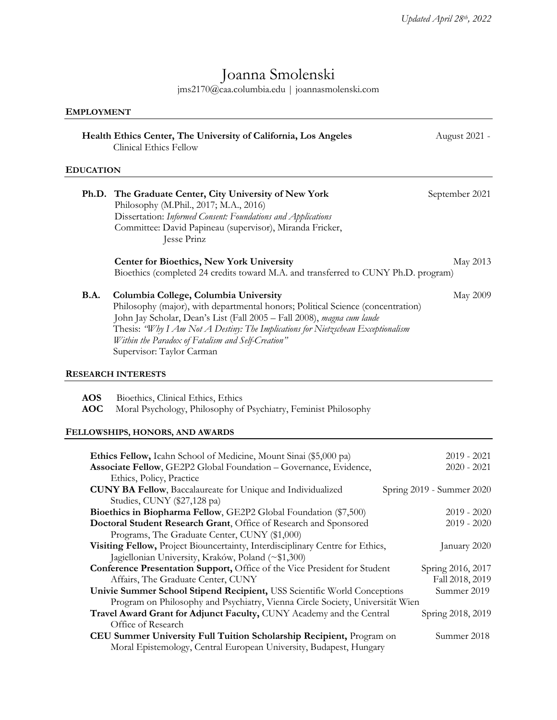# Joanna Smolenski

jms2170@caa.columbia.edu | joannasmolenski.com

| <b>EMPLOYMENT</b>        |                                                                                                                                                                                                                                                                                                                                                                          |                                      |
|--------------------------|--------------------------------------------------------------------------------------------------------------------------------------------------------------------------------------------------------------------------------------------------------------------------------------------------------------------------------------------------------------------------|--------------------------------------|
|                          | Health Ethics Center, The University of California, Los Angeles<br><b>Clinical Ethics Fellow</b>                                                                                                                                                                                                                                                                         | August 2021 -                        |
| <b>EDUCATION</b>         |                                                                                                                                                                                                                                                                                                                                                                          |                                      |
|                          | Ph.D. The Graduate Center, City University of New York<br>Philosophy (M.Phil., 2017; M.A., 2016)<br>Dissertation: Informed Consent: Foundations and Applications<br>Committee: David Papineau (supervisor), Miranda Fricker,<br>Jesse Prinz                                                                                                                              | September 2021                       |
|                          | Center for Bioethics, New York University<br>Bioethics (completed 24 credits toward M.A. and transferred to CUNY Ph.D. program)                                                                                                                                                                                                                                          | May 2013                             |
| <b>B.A.</b>              | Columbia College, Columbia University<br>Philosophy (major), with departmental honors; Political Science (concentration)<br>John Jay Scholar, Dean's List (Fall 2005 - Fall 2008), magna cum laude<br>Thesis: "Why I Am Not A Destiny: The Implications for Nietzschean Exceptionalism<br>Within the Paradox of Fatalism and Self-Creation"<br>Supervisor: Taylor Carman | May 2009                             |
|                          | <b>RESEARCH INTERESTS</b>                                                                                                                                                                                                                                                                                                                                                |                                      |
| <b>AOS</b><br><b>AOC</b> | Bioethics, Clinical Ethics, Ethics<br>Moral Psychology, Philosophy of Psychiatry, Feminist Philosophy                                                                                                                                                                                                                                                                    |                                      |
|                          | FELLOWSHIPS, HONORS, AND AWARDS                                                                                                                                                                                                                                                                                                                                          |                                      |
|                          | Ethics Fellow, Icahn School of Medicine, Mount Sinai (\$5,000 pa)<br>Associate Fellow, GE2P2 Global Foundation - Governance, Evidence,<br>Ethics, Policy, Practice                                                                                                                                                                                                       | $2019 - 2021$<br>$2020 - 2021$       |
|                          | <b>CUNY BA Fellow</b> , Baccalaureate for Unique and Individualized<br>Studies, CUNY (\$27,128 pa)                                                                                                                                                                                                                                                                       | Spring 2019 - Summer 2020            |
|                          | Bioethics in Biopharma Fellow, GE2P2 Global Foundation (\$7,500)<br>Doctoral Student Research Grant, Office of Research and Sponsored                                                                                                                                                                                                                                    | $2019 - 2020$<br>$2019 - 2020$       |
|                          | Programs, The Graduate Center, CUNY (\$1,000)<br>Visiting Fellow, Project Biouncertainty, Interdisciplinary Centre for Ethics,<br>Jagiellonian University, Kraków, Poland (~\$1,300)                                                                                                                                                                                     | January 2020                         |
|                          | Conference Presentation Support, Office of the Vice President for Student<br>Affairs, The Graduate Center, CUNY                                                                                                                                                                                                                                                          | Spring 2016, 2017<br>Fall 2018, 2019 |

**Univie Summer School Stipend Recipient,** USS Scientific World Conceptions Summer 2019 Program on Philosophy and Psychiatry, Vienna Circle Society, Universität Wien **Travel Award Grant for Adjunct Faculty, CUNY Academy and the Central Spring 2018, 2019** Office of Research **CEU Summer University Full Tuition Scholarship Recipient,** Program on Summer 2018 Moral Epistemology, Central European University, Budapest, Hungary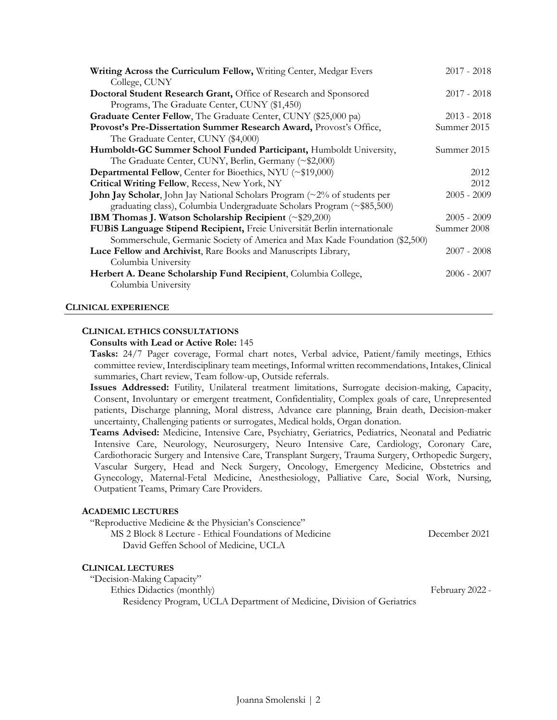| Writing Across the Curriculum Fellow, Writing Center, Medgar Evers                | $2017 - 2018$ |
|-----------------------------------------------------------------------------------|---------------|
| College, CUNY                                                                     |               |
| Doctoral Student Research Grant, Office of Research and Sponsored                 | $2017 - 2018$ |
| Programs, The Graduate Center, CUNY (\$1,450)                                     |               |
| Graduate Center Fellow, The Graduate Center, CUNY (\$25,000 pa)                   | $2013 - 2018$ |
| Provost's Pre-Dissertation Summer Research Award, Provost's Office,               | Summer 2015   |
| The Graduate Center, CUNY (\$4,000)                                               |               |
| Humboldt-GC Summer School Funded Participant, Humboldt University,                | Summer 2015   |
| The Graduate Center, CUNY, Berlin, Germany (~\$2,000)                             |               |
| Departmental Fellow, Center for Bioethics, NYU (~\$19,000)                        | 2012          |
| Critical Writing Fellow, Recess, New York, NY                                     | 2012          |
| <b>John Jay Scholar</b> , John Jay National Scholars Program (~2% of students per | $2005 - 2009$ |
| graduating class), Columbia Undergraduate Scholars Program (~\$85,500)            |               |
| IBM Thomas J. Watson Scholarship Recipient (~\$29,200)                            | $2005 - 2009$ |
| FUBIS Language Stipend Recipient, Freie Universität Berlin internationale         | Summer 2008   |
| Sommerschule, Germanic Society of America and Max Kade Foundation (\$2,500)       |               |
| Luce Fellow and Archivist, Rare Books and Manuscripts Library,                    | $2007 - 2008$ |
| Columbia University                                                               |               |
| Herbert A. Deane Scholarship Fund Recipient, Columbia College,                    | $2006 - 2007$ |
| Columbia University                                                               |               |
|                                                                                   |               |

# **CLINICAL EXPERIENCE**

# **CLINICAL ETHICS CONSULTATIONS**

#### **Consults with Lead or Active Role:** 145

**Tasks:** 24/7 Pager coverage, Formal chart notes, Verbal advice, Patient/family meetings, Ethics committee review, Interdisciplinary team meetings, Informal written recommendations, Intakes, Clinical summaries, Chart review, Team follow-up, Outside referrals.

**Issues Addressed:** Futility, Unilateral treatment limitations, Surrogate decision-making, Capacity, Consent, Involuntary or emergent treatment, Confidentiality, Complex goals of care, Unrepresented patients, Discharge planning, Moral distress, Advance care planning, Brain death, Decision-maker uncertainty, Challenging patients or surrogates, Medical holds, Organ donation.

**Teams Advised:** Medicine, Intensive Care, Psychiatry, Geriatrics, Pediatrics, Neonatal and Pediatric Intensive Care, Neurology, Neurosurgery, Neuro Intensive Care, Cardiology, Coronary Care, Cardiothoracic Surgery and Intensive Care, Transplant Surgery, Trauma Surgery, Orthopedic Surgery, Vascular Surgery, Head and Neck Surgery, Oncology, Emergency Medicine, Obstetrics and Gynecology, Maternal-Fetal Medicine, Anesthesiology, Palliative Care, Social Work, Nursing, Outpatient Teams, Primary Care Providers.

# **ACADEMIC LECTURES**

| "Reproductive Medicine & the Physician's Conscience"   |  |
|--------------------------------------------------------|--|
| MS 2 Block 8 Lecture - Ethical Foundations of Medicine |  |
| David Geffen School of Medicine, UCLA                  |  |

# **CLINICAL LECTURES**

"Decision-Making Capacity" Ethics Didactics (monthly) February 2022 -Residency Program, UCLA Department of Medicine, Division of Geriatrics

December 2021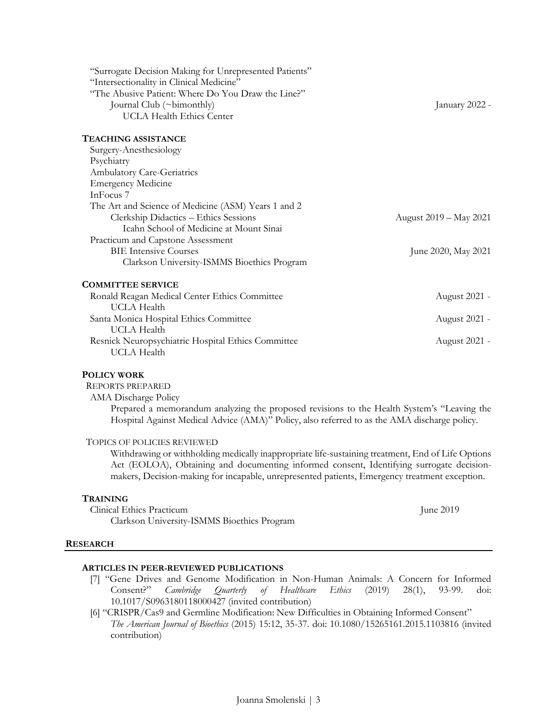| "Surrogate Decision Making for Unrepresented Patients"<br>"Intersectionality in Clinical Medicine"<br>"The Abusive Patient: Where Do You Draw the Line?"<br>Journal Club (~bimonthly)<br><b>UCLA Health Ethics Center</b> | January 2022 -         |
|---------------------------------------------------------------------------------------------------------------------------------------------------------------------------------------------------------------------------|------------------------|
| TEACHING ASSISTANCE                                                                                                                                                                                                       |                        |
| Surgery-Anesthesiology                                                                                                                                                                                                    |                        |
| Psychiatry                                                                                                                                                                                                                |                        |
| <b>Ambulatory Care-Geriatrics</b>                                                                                                                                                                                         |                        |
| <b>Emergency Medicine</b>                                                                                                                                                                                                 |                        |
| InFocus <sub>7</sub>                                                                                                                                                                                                      |                        |
| The Art and Science of Medicine (ASM) Years 1 and 2                                                                                                                                                                       |                        |
| Clerkship Didactics - Ethics Sessions                                                                                                                                                                                     | August 2019 – May 2021 |
| Icahn School of Medicine at Mount Sinai                                                                                                                                                                                   |                        |
| Practicum and Capstone Assessment                                                                                                                                                                                         |                        |
| <b>BIE Intensive Courses</b>                                                                                                                                                                                              | June 2020, May 2021    |
| Clarkson University-ISMMS Bioethics Program                                                                                                                                                                               |                        |
| <b>COMMITTEE SERVICE</b>                                                                                                                                                                                                  |                        |
| Ronald Reagan Medical Center Ethics Committee                                                                                                                                                                             | August 2021 -          |
| UCLA Health                                                                                                                                                                                                               |                        |
| Santa Monica Hospital Ethics Committee                                                                                                                                                                                    | August 2021 -          |
| <b>UCLA</b> Health                                                                                                                                                                                                        |                        |
| Resnick Neuropsychiatric Hospital Ethics Committee                                                                                                                                                                        | August 2021 -          |
| UCLA Health                                                                                                                                                                                                               |                        |

# **POLICY WORK**

REPORTS PREPARED

AMA Discharge Policy

Prepared a memorandum analyzing the proposed revisions to the Health System's "Leaving the Hospital Against Medical Advice (AMA)" Policy, also referred to as the AMA discharge policy.

# TOPICS OF POLICIES REVIEWED

Withdrawing or withholding medically inappropriate life-sustaining treatment, End of Life Options Act (EOLOA), Obtaining and documenting informed consent, Identifying surrogate decisionmakers, Decision-making for incapable, unrepresented patients, Emergency treatment exception.

#### **TRAINING**

Clinical Ethics Practicum June 2019 Clarkson University-ISMMS Bioethics Program

#### **RESEARCH**

# **ARTICLES IN PEER-REVIEWED PUBLICATIONS**

- [7] "Gene Drives and Genome Modification in Non-Human Animals: A Concern for Informed Consent?" *Cambridge Quarterly of Healthcare Ethics* (2019) 28(1), 93-99. doi: 10.1017/S0963180118000427 (invited contribution)
- [6] "CRISPR/Cas9 and Germline Modification: New Difficulties in Obtaining Informed Consent" *The American Journal of Bioethics* (2015) 15:12, 35-37. doi: 10.1080/15265161.2015.1103816 (invited contribution)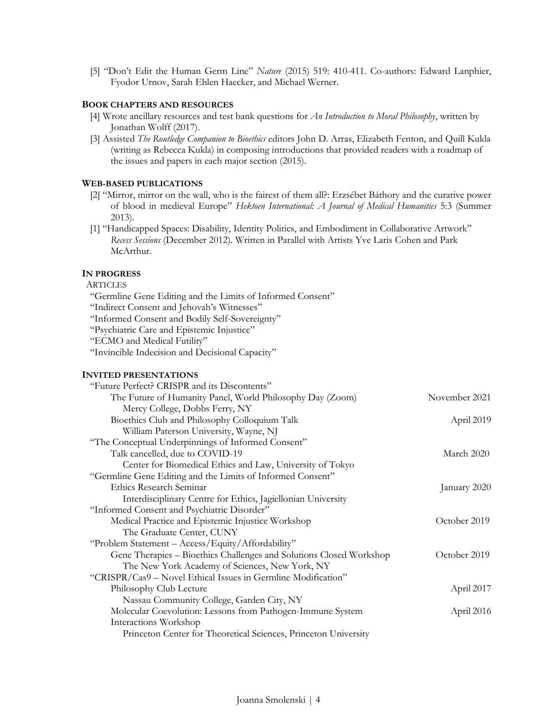[5] "Don't Edit the Human Germ Line" *Nature* (2015) 519: 410-411. Co-authors: Edward Lanphier, Fyodor Urnov, Sarah Ehlen Haecker, and Michael Werner.

# **BOOK CHAPTERS AND RESOURCES**

- [4] Wrote ancillary resources and test bank questions for *An Introduction to Moral Philosophy*, written by Jonathan Wolff (2017).
- [3] Assisted *The Routledge Companion to Bioethics* editors John D. Arras, Elizabeth Fenton, and Quill Kukla (writing as Rebecca Kukla) in composing introductions that provided readers with a roadmap of the issues and papers in each major section (2015).

#### **WEB-BASED PUBLICATIONS**

- [2] "Mirror, mirror on the wall, who is the fairest of them all?: Erzsébet Báthory and the curative power of blood in medieval Europe" *Hektoen International: A Journal of Medical Humanities* 5:3 (Summer 2013).
- [1] "Handicapped Spaces: Disability, Identity Politics, and Embodiment in Collaborative Artwork" *Recess Sessions* (December 2012). Written in Parallel with Artists Yve Laris Cohen and Park McArthur.

#### **IN PROGRESS**

# **ARTICLES**

- "Germline Gene Editing and the Limits of Informed Consent"
- "Indirect Consent and Jehovah's Witnesses"
- "Informed Consent and Bodily Self-Sovereignty"
- "Psychiatric Care and Epistemic Injustice"
- "ECMO and Medical Futility"
- "Invincible Indecision and Decisional Capacity"

#### **INVITED PRESENTATIONS**

| "Future Perfect? CRISPR and its Discontents"                        |               |
|---------------------------------------------------------------------|---------------|
| The Future of Humanity Panel, World Philosophy Day (Zoom)           | November 2021 |
| Mercy College, Dobbs Ferry, NY                                      |               |
| Bioethics Club and Philosophy Colloquium Talk                       | April 2019    |
| William Paterson University, Wayne, NJ                              |               |
| "The Conceptual Underpinnings of Informed Consent"                  |               |
| Talk cancelled, due to COVID-19                                     | March 2020    |
| Center for Biomedical Ethics and Law, University of Tokyo           |               |
| "Germline Gene Editing and the Limits of Informed Consent"          |               |
| Ethics Research Seminar                                             | January 2020  |
| Interdisciplinary Centre for Ethics, Jagiellonian University        |               |
| "Informed Consent and Psychiatric Disorder"                         |               |
| Medical Practice and Epistemic Injustice Workshop                   | October 2019  |
| The Graduate Center, CUNY                                           |               |
| "Problem Statement - Access/Equity/Affordability"                   |               |
| Gene Therapies - Bioethics Challenges and Solutions Closed Workshop | October 2019  |
| The New York Academy of Sciences, New York, NY                      |               |
| "CRISPR/Cas9 - Novel Ethical Issues in Germline Modification"       |               |
| Philosophy Club Lecture                                             | April 2017    |
| Nassau Community College, Garden City, NY                           |               |
| Molecular Coevolution: Lessons from Pathogen-Immune System          | April 2016    |
| Interactions Workshop                                               |               |
| Princeton Center for Theoretical Sciences, Princeton University     |               |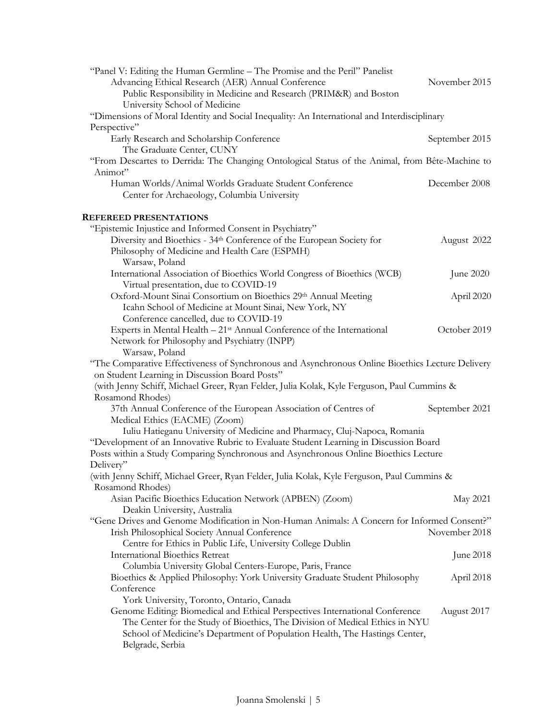| "Panel V: Editing the Human Germline – The Promise and the Peril" Panelist<br>Advancing Ethical Research (AER) Annual Conference<br>Public Responsibility in Medicine and Research (PRIM&R) and Boston                                                                                                      | November 2015  |  |
|-------------------------------------------------------------------------------------------------------------------------------------------------------------------------------------------------------------------------------------------------------------------------------------------------------------|----------------|--|
| University School of Medicine<br>"Dimensions of Moral Identity and Social Inequality: An International and Interdisciplinary                                                                                                                                                                                |                |  |
| Perspective"<br>Early Research and Scholarship Conference<br>The Graduate Center, CUNY                                                                                                                                                                                                                      | September 2015 |  |
| "From Descartes to Derrida: The Changing Ontological Status of the Animal, from Bête-Machine to<br>Animot"                                                                                                                                                                                                  |                |  |
| Human Worlds/Animal Worlds Graduate Student Conference<br>Center for Archaeology, Columbia University                                                                                                                                                                                                       | December 2008  |  |
| <b>REFEREED PRESENTATIONS</b>                                                                                                                                                                                                                                                                               |                |  |
| "Epistemic Injustice and Informed Consent in Psychiatry"<br>Diversity and Bioethics - 34th Conference of the European Society for<br>Philosophy of Medicine and Health Care (ESPMH)<br>Warsaw, Poland                                                                                                       | August 2022    |  |
| International Association of Bioethics World Congress of Bioethics (WCB)<br>Virtual presentation, due to COVID-19                                                                                                                                                                                           | June 2020      |  |
| Oxford-Mount Sinai Consortium on Bioethics 29th Annual Meeting<br>Icahn School of Medicine at Mount Sinai, New York, NY<br>Conference cancelled, due to COVID-19                                                                                                                                            | April 2020     |  |
| Experts in Mental Health - 21 <sup>st</sup> Annual Conference of the International<br>Network for Philosophy and Psychiatry (INPP)<br>Warsaw, Poland                                                                                                                                                        | October 2019   |  |
| "The Comparative Effectiveness of Synchronous and Asynchronous Online Bioethics Lecture Delivery<br>on Student Learning in Discussion Board Posts"                                                                                                                                                          |                |  |
| (with Jenny Schiff, Michael Greer, Ryan Felder, Julia Kolak, Kyle Ferguson, Paul Cummins &<br>Rosamond Rhodes)                                                                                                                                                                                              |                |  |
| 37th Annual Conference of the European Association of Centres of<br>Medical Ethics (EACME) (Zoom)                                                                                                                                                                                                           | September 2021 |  |
| Iuliu Hatieganu University of Medicine and Pharmacy, Cluj-Napoca, Romania<br>"Development of an Innovative Rubric to Evaluate Student Learning in Discussion Board<br>Posts within a Study Comparing Synchronous and Asynchronous Online Bioethics Lecture                                                  |                |  |
| Delivery"<br>(with Jenny Schiff, Michael Greer, Ryan Felder, Julia Kolak, Kyle Ferguson, Paul Cummins &                                                                                                                                                                                                     |                |  |
| Rosamond Rhodes)<br>Asian Pacific Bioethics Education Network (APBEN) (Zoom)                                                                                                                                                                                                                                | May 2021       |  |
| Deakin University, Australia<br>"Gene Drives and Genome Modification in Non-Human Animals: A Concern for Informed Consent?"<br>Irish Philosophical Society Annual Conference<br>Centre for Ethics in Public Life, University College Dublin                                                                 | November 2018  |  |
| <b>International Bioethics Retreat</b>                                                                                                                                                                                                                                                                      | June 2018      |  |
| Columbia University Global Centers-Europe, Paris, France<br>Bioethics & Applied Philosophy: York University Graduate Student Philosophy<br>Conference                                                                                                                                                       | April 2018     |  |
| York University, Toronto, Ontario, Canada<br>Genome Editing: Biomedical and Ethical Perspectives International Conference<br>The Center for the Study of Bioethics, The Division of Medical Ethics in NYU<br>School of Medicine's Department of Population Health, The Hastings Center,<br>Belgrade, Serbia | August 2017    |  |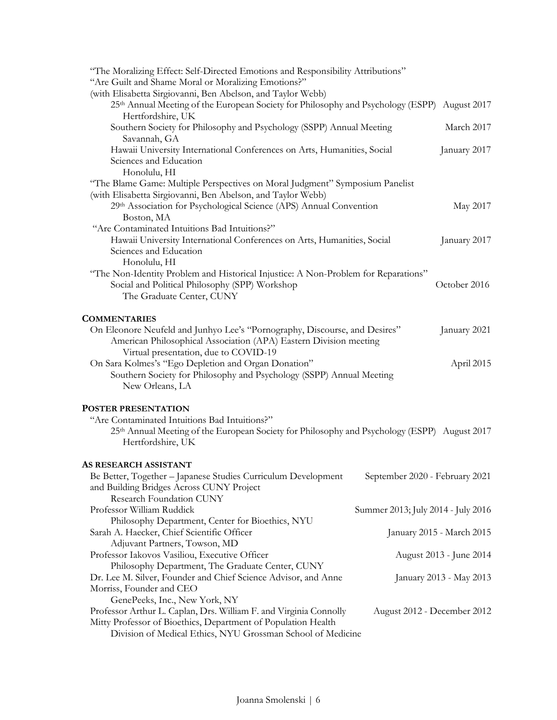| "The Moralizing Effect: Self-Directed Emotions and Responsibility Attributions"<br>"Are Guilt and Shame Moral or Moralizing Emotions?"                                                                                             |                                    |
|------------------------------------------------------------------------------------------------------------------------------------------------------------------------------------------------------------------------------------|------------------------------------|
| (with Elisabetta Sirgiovanni, Ben Abelson, and Taylor Webb)<br>25th Annual Meeting of the European Society for Philosophy and Psychology (ESPP) August 2017<br>Hertfordshire, UK                                                   |                                    |
| Southern Society for Philosophy and Psychology (SSPP) Annual Meeting<br>Savannah, GA                                                                                                                                               | March 2017                         |
| Hawaii University International Conferences on Arts, Humanities, Social<br>Sciences and Education<br>Honolulu, HI                                                                                                                  | January 2017                       |
| "The Blame Game: Multiple Perspectives on Moral Judgment" Symposium Panelist<br>(with Elisabetta Sirgiovanni, Ben Abelson, and Taylor Webb)                                                                                        |                                    |
| 29th Association for Psychological Science (APS) Annual Convention<br>Boston, MA                                                                                                                                                   | May 2017                           |
| "Are Contaminated Intuitions Bad Intuitions?"<br>Hawaii University International Conferences on Arts, Humanities, Social<br>Sciences and Education<br>Honolulu, HI                                                                 | January 2017                       |
| "The Non-Identity Problem and Historical Injustice: A Non-Problem for Reparations"<br>Social and Political Philosophy (SPP) Workshop<br>The Graduate Center, CUNY                                                                  | October 2016                       |
| <b>COMMENTARIES</b>                                                                                                                                                                                                                |                                    |
| On Eleonore Neufeld and Junhyo Lee's "Pornography, Discourse, and Desires"<br>American Philosophical Association (APA) Eastern Division meeting                                                                                    | January 2021                       |
| Virtual presentation, due to COVID-19<br>On Sara Kolmes's "Ego Depletion and Organ Donation"<br>Southern Society for Philosophy and Psychology (SSPP) Annual Meeting<br>New Orleans, LA                                            | April 2015                         |
| POSTER PRESENTATION                                                                                                                                                                                                                |                                    |
| "Are Contaminated Intuitions Bad Intuitions?"<br>25th Annual Meeting of the European Society for Philosophy and Psychology (ESPP) August 2017<br>Hertfordshire, UK                                                                 |                                    |
| AS RESEARCH ASSISTANT                                                                                                                                                                                                              |                                    |
| Be Better, Together - Japanese Studies Curriculum Development<br>and Building Bridges Across CUNY Project<br>Research Foundation CUNY                                                                                              | September 2020 - February 2021     |
| Professor William Ruddick                                                                                                                                                                                                          | Summer 2013; July 2014 - July 2016 |
| Philosophy Department, Center for Bioethics, NYU<br>Sarah A. Haecker, Chief Scientific Officer<br>Adjuvant Partners, Towson, MD                                                                                                    | January 2015 - March 2015          |
| Professor Iakovos Vasiliou, Executive Officer<br>Philosophy Department, The Graduate Center, CUNY                                                                                                                                  | August 2013 - June 2014            |
| Dr. Lee M. Silver, Founder and Chief Science Advisor, and Anne<br>Morriss, Founder and CEO                                                                                                                                         | January 2013 - May 2013            |
| GenePeeks, Inc., New York, NY<br>Professor Arthur L. Caplan, Drs. William F. and Virginia Connolly<br>Mitty Professor of Bioethics, Department of Population Health<br>Division of Medical Ethics, NYU Grossman School of Medicine | August 2012 - December 2012        |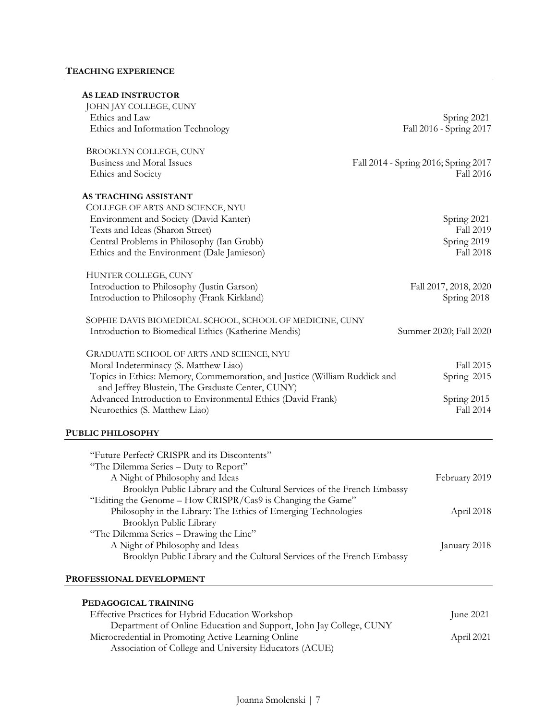# **TEACHING EXPERIENCE**

| <b>AS LEAD INSTRUCTOR</b>                                                                                                              |                                      |
|----------------------------------------------------------------------------------------------------------------------------------------|--------------------------------------|
| JOHN JAY COLLEGE, CUNY                                                                                                                 |                                      |
| Ethics and Law                                                                                                                         | Spring 2021                          |
| Ethics and Information Technology                                                                                                      | Fall 2016 - Spring 2017              |
| <b>BROOKLYN COLLEGE, CUNY</b>                                                                                                          |                                      |
| Business and Moral Issues                                                                                                              | Fall 2014 - Spring 2016; Spring 2017 |
| Ethics and Society                                                                                                                     | <b>Fall 2016</b>                     |
| AS TEACHING ASSISTANT                                                                                                                  |                                      |
| COLLEGE OF ARTS AND SCIENCE, NYU                                                                                                       |                                      |
| Environment and Society (David Kanter)                                                                                                 | Spring 2021                          |
| Texts and Ideas (Sharon Street)                                                                                                        | Fall 2019                            |
| Central Problems in Philosophy (Ian Grubb)                                                                                             | Spring 2019                          |
| Ethics and the Environment (Dale Jamieson)                                                                                             | <b>Fall 2018</b>                     |
| HUNTER COLLEGE, CUNY                                                                                                                   |                                      |
| Introduction to Philosophy (Justin Garson)                                                                                             | Fall 2017, 2018, 2020                |
| Introduction to Philosophy (Frank Kirkland)                                                                                            | Spring 2018                          |
| SOPHIE DAVIS BIOMEDICAL SCHOOL, SCHOOL OF MEDICINE, CUNY                                                                               |                                      |
| Introduction to Biomedical Ethics (Katherine Mendis)                                                                                   | Summer 2020; Fall 2020               |
| GRADUATE SCHOOL OF ARTS AND SCIENCE, NYU                                                                                               |                                      |
| Moral Indeterminacy (S. Matthew Liao)                                                                                                  | Fall 2015                            |
| Topics in Ethics: Memory, Commemoration, and Justice (William Ruddick and<br>and Jeffrey Blustein, The Graduate Center, CUNY)          | Spring 2015                          |
| Advanced Introduction to Environmental Ethics (David Frank)                                                                            | Spring 2015                          |
| Neuroethics (S. Matthew Liao)                                                                                                          | <b>Fall 2014</b>                     |
| <b>PUBLIC PHILOSOPHY</b>                                                                                                               |                                      |
| "Future Perfect? CRISPR and its Discontents"                                                                                           |                                      |
| "The Dilemma Series - Duty to Report"                                                                                                  |                                      |
| A Night of Philosophy and Ideas                                                                                                        | February 2019                        |
|                                                                                                                                        |                                      |
| Brooklyn Public Library and the Cultural Services of the French Embassy<br>"Editing the Genome - How CRISPR/Cas9 is Changing the Game" |                                      |
|                                                                                                                                        |                                      |
| Philosophy in the Library: The Ethics of Emerging Technologies                                                                         | April 2018                           |
| Brooklyn Public Library                                                                                                                |                                      |
| "The Dilemma Series - Drawing the Line"                                                                                                |                                      |
| A Night of Philosophy and Ideas<br>Brooklyn Public Library and the Cultural Services of the French Embassy                             | January 2018                         |
| PROFESSIONAL DEVELOPMENT                                                                                                               |                                      |
|                                                                                                                                        |                                      |
| PEDAGOGICAL TRAINING                                                                                                                   |                                      |

| Effective Practices for Hybrid Education Workshop                  | June $2021$ |
|--------------------------------------------------------------------|-------------|
| Department of Online Education and Support, John Jay College, CUNY |             |
| Microcredential in Promoting Active Learning Online                | April 2021  |
| Association of College and University Educators (ACUE)             |             |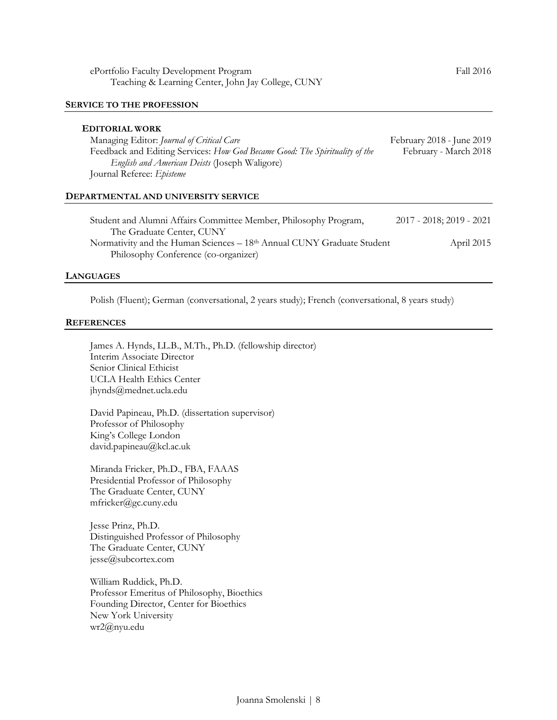#### **SERVICE TO THE PROFESSION**

#### **EDITORIAL WORK**

| Managing Editor: Journal of Critical Care                                   | February 2018 - June 2019 |
|-----------------------------------------------------------------------------|---------------------------|
| Feedback and Editing Services: How God Became Good: The Spirituality of the | February - March 2018     |
| <i>English and American Deists</i> (Joseph Waligore)                        |                           |
| Journal Referee: <i>Episteme</i>                                            |                           |

#### **DEPARTMENTAL AND UNIVERSITY SERVICE**

| Student and Alumni Affairs Committee Member, Philosophy Program,                   | 2017 - 2018; 2019 - 2021 |
|------------------------------------------------------------------------------------|--------------------------|
| The Graduate Center, CUNY                                                          |                          |
| Normativity and the Human Sciences – 18 <sup>th</sup> Annual CUNY Graduate Student | April 2015               |
| Philosophy Conference (co-organizer)                                               |                          |

#### **LANGUAGES**

Polish (Fluent); German (conversational, 2 years study); French (conversational, 8 years study)

#### **REFERENCES**

James A. Hynds, LL.B., M.Th., Ph.D. (fellowship director) Interim Associate Director Senior Clinical Ethicist UCLA Health Ethics Center jhynds@mednet.ucla.edu

David Papineau, Ph.D. (dissertation supervisor) Professor of Philosophy King's College London david.papineau@kcl.ac.uk

Miranda Fricker, Ph.D., FBA, FAAAS Presidential Professor of Philosophy The Graduate Center, CUNY mfricker@gc.cuny.edu

Jesse Prinz, Ph.D. Distinguished Professor of Philosophy The Graduate Center, CUNY jesse@subcortex.com

William Ruddick, Ph.D. Professor Emeritus of Philosophy, Bioethics Founding Director, Center for Bioethics New York University wr2@nyu.edu